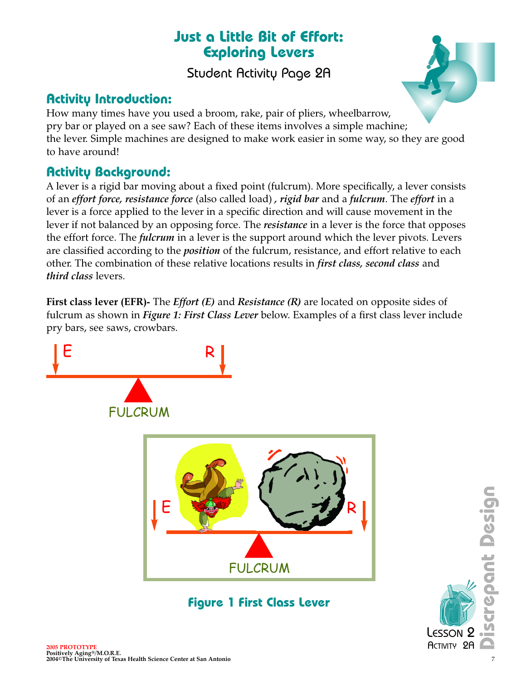## **Just a Little Bit of Effort: Exploring Levers**

Student Activity Page 2A

### **Activity Introduction:**

How many times have you used a broom, rake, pair of pliers, wheelbarrow, pry bar or played on a see saw? Each of these items involves a simple machine; the lever. Simple machines are designed to make work easier in some way, so they are good to have around!

### **Activity Background:**

A lever is a rigid bar moving about a fixed point (fulcrum). More specifically, a lever consists of an *effort force, resistance force* (also called load) *, rigid bar* and a *fulcrum*. The *effort* in a lever is a force applied to the lever in a specific direction and will cause movement in the lever if not balanced by an opposing force. The *resistance* in a lever is the force that opposes the effort force. The *fulcrum* in a lever is the support around which the lever pivots. Levers are classified according to the *position* of the fulcrum, resistance, and effort relative to each other. The combination of these relative locations results in *first class, second class* and *third class* levers.

**First class lever (EFR)-** The *Effort (E)* and *Resistance (R)* are located on opposite sides of fulcrum as shown in *Figure 1: First Class Lever* below. Examples of a first class lever include pry bars, see saws, crowbars.

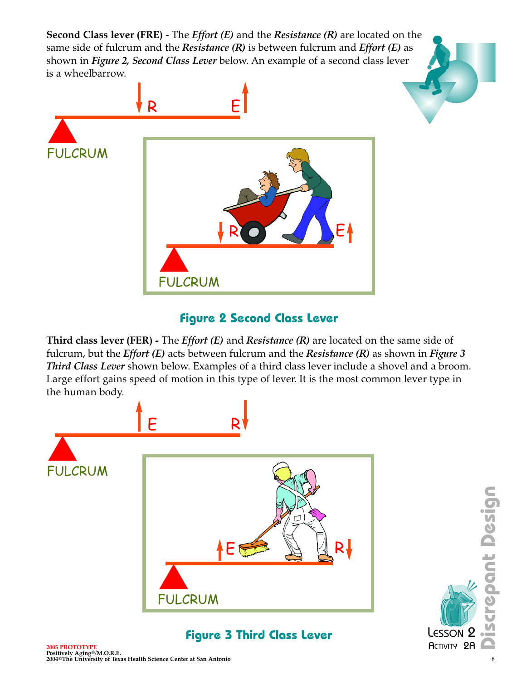**Second Class lever (FRE) -** The *Effort (E)* and the *Resistance (R)* are located on the same side of fulcrum and the *Resistance (R)* is between fulcrum and *Effort (E)* as shown in *Figure 2, Second Class Lever* below. An example of a second class lever is a wheelbarrow.



#### **Figure 2 Second Class Lever**

**Third class lever (FER) -** The *Effort (E)* and *Resistance (R)* are located on the same side of fulcrum, but the *Effort (E)* acts between fulcrum and the *Resistance (R)* as shown in *Figure 3 Third Class Lever* shown below. Examples of a third class lever include a shovel and a broom. Large effort gains speed of motion in this type of lever. It is the most common lever type in the human body.



**2005 PROTOTYPE** ACTIVITY 2A **Positively Aging®/M.O.R.E. 2004©The University of Texas Health Science Center at San Antonio** 8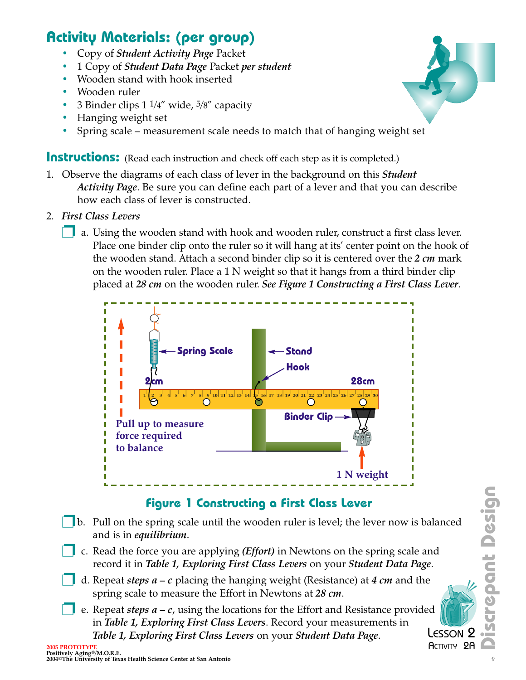# **Activity Materials: (per group)**

- Copy of *Student Activity Page* Packet
- 1 Copy of *Student Data Page* Packet *per student*
- Wooden stand with hook inserted
- Wooden ruler
- 3 Binder clips  $1 \frac{1}{4}$ " wide,  $\frac{5}{8}$ " capacity
- Hanging weight set
- Spring scale measurement scale needs to match that of hanging weight set

**Instructions:** (Read each instruction and check off each step as it is completed.)

- 1. Observe the diagrams of each class of lever in the background on this *Student Activity Page*. Be sure you can define each part of a lever and that you can describe how each class of lever is constructed.
- 2. *First Class Levers*
	- a. Using the wooden stand with hook and wooden ruler, construct a first class lever. Place one binder clip onto the ruler so it will hang at its' center point on the hook of the wooden stand. Attach a second binder clip so it is centered over the *2 cm* mark on the wooden ruler. Place a 1 N weight so that it hangs from a third binder clip placed at *28 cm* on the wooden ruler. *See Figure 1 Constructing a First Class Lever*.



### **Figure 1 Constructing a First Class Lever**

- ❐b. Pull on the spring scale until the wooden ruler is level; the lever now is balanced and is in *equilibrium*.
- ❐ c. Read the force you are applying *(Effort)* in Newtons on the spring scale and record it in *Table 1, Exploring First Class Levers* on your *Student Data Page*.
- ❐ d. Repeat *steps a c* placing the hanging weight (Resistance) at *4 cm* and the spring scale to measure the Effort in Newtons at *28 cm*.
- ❐ e. Repeat *steps a c*, using the locations for the Effort and Resistance provided in *Table 1, Exploring First Class Levers*. Record your measurements in *Table 1, Exploring First Class Levers* on your *Student Data Page*. **2005** Property Agent Science Center at San Antonio<br>
2004 PROGRESS Levers (1990) The University of Texas Health Science Center at San Antonio<br>
2004 PROGRESS Levers On your Student Data Page.<br>
2004 PROGRESS Levers (1990) Th LESSON<sub>2</sub> **ACTIVITY 2A**